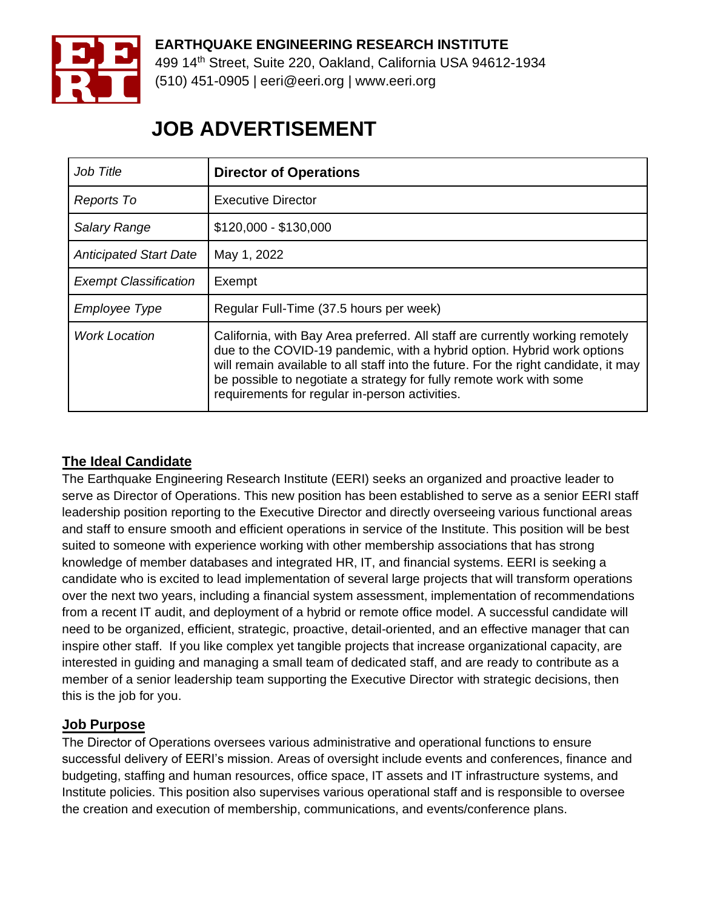

# **EARTHQUAKE ENGINEERING RESEARCH INSTITUTE**

499 14th Street, Suite 220, Oakland, California USA 94612-1934 (510) 451-0905 | eeri@eeri.org | www.eeri.org

# **JOB ADVERTISEMENT**

| Job Title                     | <b>Director of Operations</b>                                                                                                                                                                                                                                                                                                                                            |
|-------------------------------|--------------------------------------------------------------------------------------------------------------------------------------------------------------------------------------------------------------------------------------------------------------------------------------------------------------------------------------------------------------------------|
| Reports To                    | Executive Director                                                                                                                                                                                                                                                                                                                                                       |
| <b>Salary Range</b>           | $$120,000 - $130,000$                                                                                                                                                                                                                                                                                                                                                    |
| <b>Anticipated Start Date</b> | May 1, 2022                                                                                                                                                                                                                                                                                                                                                              |
| <b>Exempt Classification</b>  | Exempt                                                                                                                                                                                                                                                                                                                                                                   |
| Employee Type                 | Regular Full-Time (37.5 hours per week)                                                                                                                                                                                                                                                                                                                                  |
| <b>Work Location</b>          | California, with Bay Area preferred. All staff are currently working remotely<br>due to the COVID-19 pandemic, with a hybrid option. Hybrid work options<br>will remain available to all staff into the future. For the right candidate, it may<br>be possible to negotiate a strategy for fully remote work with some<br>requirements for regular in-person activities. |

### **The Ideal Candidate**

The Earthquake Engineering Research Institute (EERI) seeks an organized and proactive leader to serve as Director of Operations. This new position has been established to serve as a senior EERI staff leadership position reporting to the Executive Director and directly overseeing various functional areas and staff to ensure smooth and efficient operations in service of the Institute. This position will be best suited to someone with experience working with other membership associations that has strong knowledge of member databases and integrated HR, IT, and financial systems. EERI is seeking a candidate who is excited to lead implementation of several large projects that will transform operations over the next two years, including a financial system assessment, implementation of recommendations from a recent IT audit, and deployment of a hybrid or remote office model. A successful candidate will need to be organized, efficient, strategic, proactive, detail-oriented, and an effective manager that can inspire other staff. If you like complex yet tangible projects that increase organizational capacity, are interested in guiding and managing a small team of dedicated staff, and are ready to contribute as a member of a senior leadership team supporting the Executive Director with strategic decisions, then this is the job for you.

#### **Job Purpose**

The Director of Operations oversees various administrative and operational functions to ensure successful delivery of EERI's mission. Areas of oversight include events and conferences, finance and budgeting, staffing and human resources, office space, IT assets and IT infrastructure systems, and Institute policies. This position also supervises various operational staff and is responsible to oversee the creation and execution of membership, communications, and events/conference plans.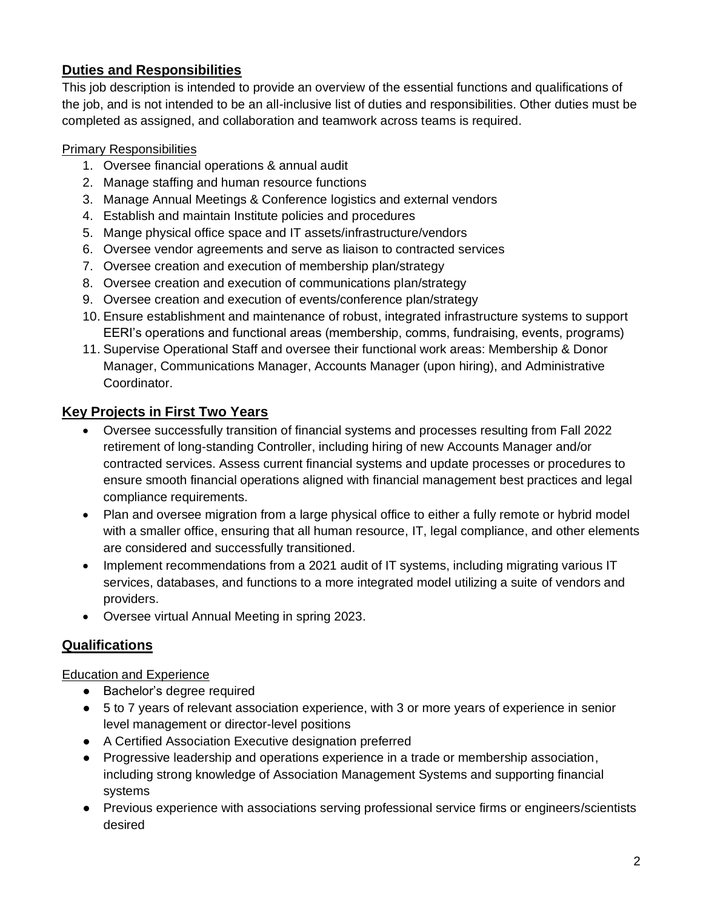## **Duties and Responsibilities**

This job description is intended to provide an overview of the essential functions and qualifications of the job, and is not intended to be an all-inclusive list of duties and responsibilities. Other duties must be completed as assigned, and collaboration and teamwork across teams is required.

#### Primary Responsibilities

- 1. Oversee financial operations & annual audit
- 2. Manage staffing and human resource functions
- 3. Manage Annual Meetings & Conference logistics and external vendors
- 4. Establish and maintain Institute policies and procedures
- 5. Mange physical office space and IT assets/infrastructure/vendors
- 6. Oversee vendor agreements and serve as liaison to contracted services
- 7. Oversee creation and execution of membership plan/strategy
- 8. Oversee creation and execution of communications plan/strategy
- 9. Oversee creation and execution of events/conference plan/strategy
- 10. Ensure establishment and maintenance of robust, integrated infrastructure systems to support EERI's operations and functional areas (membership, comms, fundraising, events, programs)
- 11. Supervise Operational Staff and oversee their functional work areas: Membership & Donor Manager, Communications Manager, Accounts Manager (upon hiring), and Administrative Coordinator.

## **Key Projects in First Two Years**

- Oversee successfully transition of financial systems and processes resulting from Fall 2022 retirement of long-standing Controller, including hiring of new Accounts Manager and/or contracted services. Assess current financial systems and update processes or procedures to ensure smooth financial operations aligned with financial management best practices and legal compliance requirements.
- Plan and oversee migration from a large physical office to either a fully remote or hybrid model with a smaller office, ensuring that all human resource, IT, legal compliance, and other elements are considered and successfully transitioned.
- Implement recommendations from a 2021 audit of IT systems, including migrating various IT services, databases, and functions to a more integrated model utilizing a suite of vendors and providers.
- Oversee virtual Annual Meeting in spring 2023.

#### **Qualifications**

Education and Experience

- Bachelor's degree required
- 5 to 7 years of relevant association experience, with 3 or more years of experience in senior level management or director-level positions
- A Certified Association Executive designation preferred
- Progressive leadership and operations experience in a trade or membership association, including strong knowledge of Association Management Systems and supporting financial systems
- Previous experience with associations serving professional service firms or engineers/scientists desired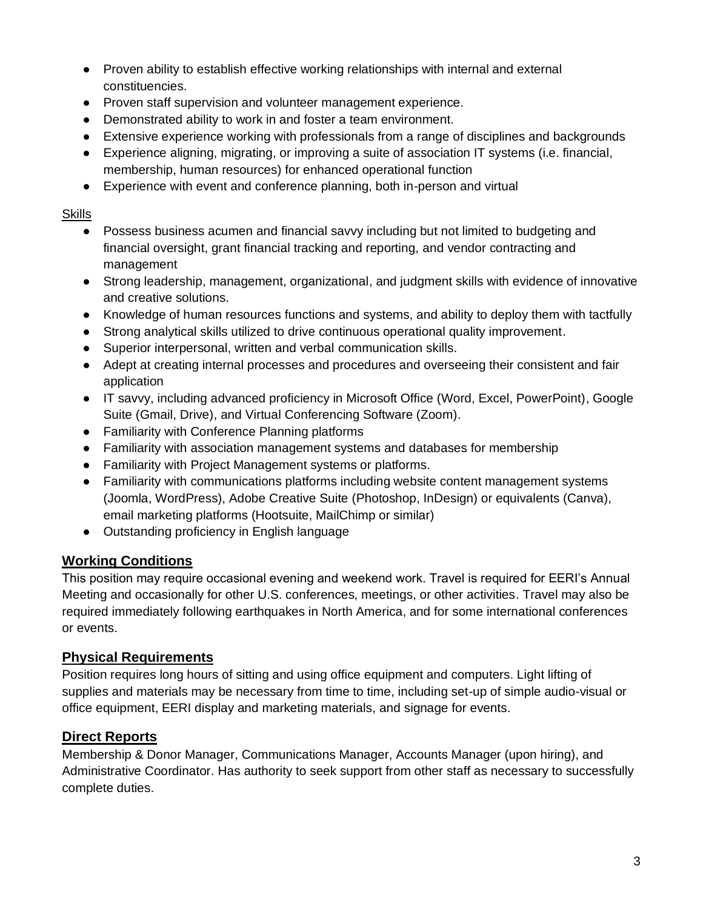- Proven ability to establish effective working relationships with internal and external constituencies.
- Proven staff supervision and volunteer management experience.
- Demonstrated ability to work in and foster a team environment.
- Extensive experience working with professionals from a range of disciplines and backgrounds
- Experience aligning, migrating, or improving a suite of association IT systems (i.e. financial, membership, human resources) for enhanced operational function
- Experience with event and conference planning, both in-person and virtual

#### Skills

- Possess business acumen and financial savvy including but not limited to budgeting and financial oversight, grant financial tracking and reporting, and vendor contracting and management
- Strong leadership, management, organizational, and judgment skills with evidence of innovative and creative solutions.
- Knowledge of human resources functions and systems, and ability to deploy them with tactfully
- Strong analytical skills utilized to drive continuous operational quality improvement.
- Superior interpersonal, written and verbal communication skills.
- Adept at creating internal processes and procedures and overseeing their consistent and fair application
- IT savvy, including advanced proficiency in Microsoft Office (Word, Excel, PowerPoint), Google Suite (Gmail, Drive), and Virtual Conferencing Software (Zoom).
- Familiarity with Conference Planning platforms
- Familiarity with association management systems and databases for membership
- Familiarity with Project Management systems or platforms.
- Familiarity with communications platforms including website content management systems (Joomla, WordPress), Adobe Creative Suite (Photoshop, InDesign) or equivalents (Canva), email marketing platforms (Hootsuite, MailChimp or similar)
- Outstanding proficiency in English language

## **Working Conditions**

This position may require occasional evening and weekend work. Travel is required for EERI's Annual Meeting and occasionally for other U.S. conferences, meetings, or other activities. Travel may also be required immediately following earthquakes in North America, and for some international conferences or events.

#### **Physical Requirements**

Position requires long hours of sitting and using office equipment and computers. Light lifting of supplies and materials may be necessary from time to time, including set-up of simple audio-visual or office equipment, EERI display and marketing materials, and signage for events.

## **Direct Reports**

Membership & Donor Manager, Communications Manager, Accounts Manager (upon hiring), and Administrative Coordinator. Has authority to seek support from other staff as necessary to successfully complete duties.